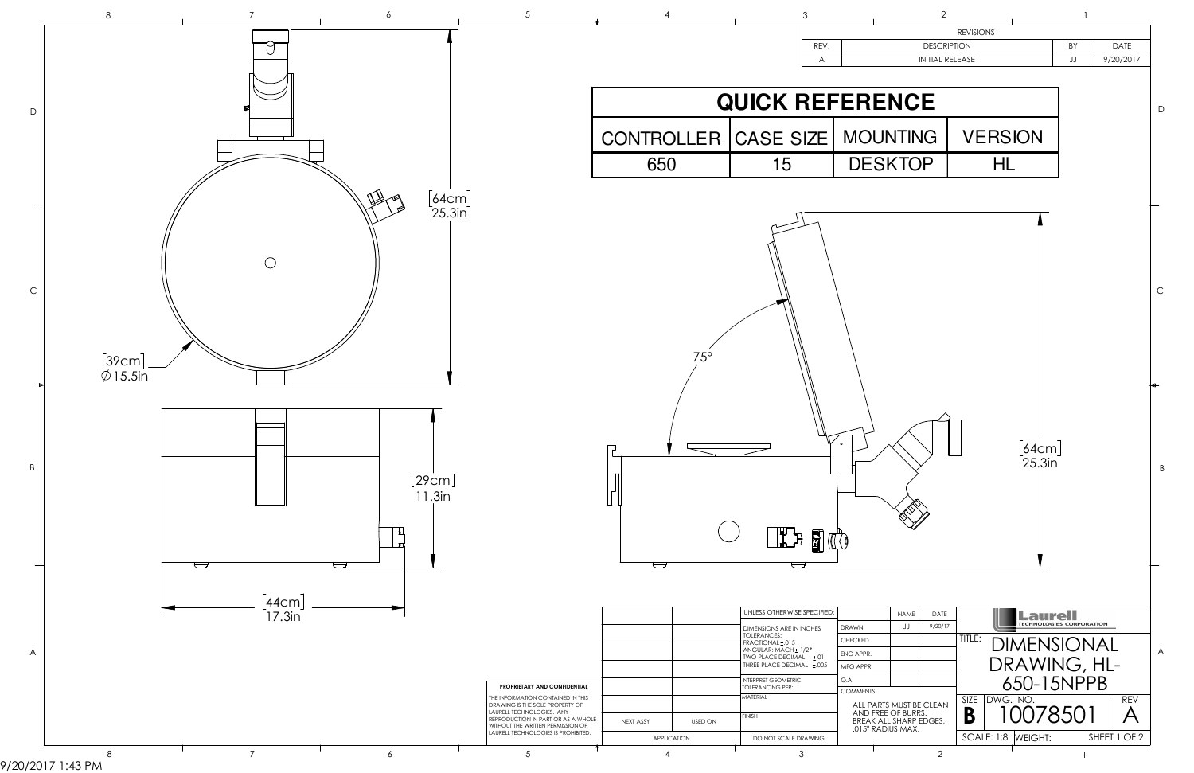

9/20/2017 1:43 PM